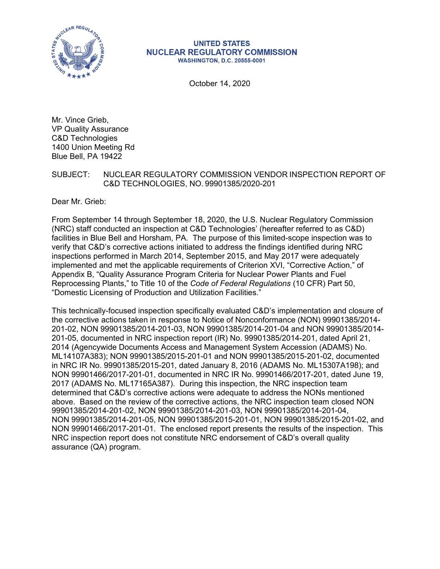

#### **UNITED STATES NUCLEAR REGULATORY COMMISSION WASHINGTON, D.C. 20555-0001**

October 14, 2020

Mr. Vince Grieb, VP Quality Assurance C&D Technologies 1400 Union Meeting Rd Blue Bell, PA 19422

### SUBJECT: NUCLEAR REGULATORY COMMISSION VENDOR INSPECTION REPORT OF C&D TECHNOLOGIES, NO. 99901385/2020-201

Dear Mr. Grieb:

From September 14 through September 18, 2020, the U.S. Nuclear Regulatory Commission (NRC) staff conducted an inspection at C&D Technologies' (hereafter referred to as C&D) facilities in Blue Bell and Horsham, PA. The purpose of this limited-scope inspection was to verify that C&D's corrective actions initiated to address the findings identified during NRC inspections performed in March 2014, September 2015, and May 2017 were adequately implemented and met the applicable requirements of Criterion XVI, "Corrective Action," of Appendix B, "Quality Assurance Program Criteria for Nuclear Power Plants and Fuel Reprocessing Plants," to Title 10 of the *Code of Federal Regulations* (10 CFR) Part 50, "Domestic Licensing of Production and Utilization Facilities."

This technically-focused inspection specifically evaluated C&D's implementation and closure of the corrective actions taken in response to Notice of Nonconformance (NON) 99901385/2014- 201-02, NON 99901385/2014-201-03, NON 99901385/2014-201-04 and NON 99901385/2014- 201-05, documented in NRC inspection report (IR) No. 99901385/2014-201, dated April 21, 2014 (Agencywide Documents Access and Management System Accession (ADAMS) No. ML14107A383); NON 99901385/2015-201-01 and NON 99901385/2015-201-02, documented in NRC IR No. 99901385/2015-201, dated January 8, 2016 (ADAMS No. ML15307A198); and NON 99901466/2017-201-01, documented in NRC IR No. 99901466/2017-201, dated June 19, 2017 (ADAMS No. ML17165A387). During this inspection, the NRC inspection team determined that C&D's corrective actions were adequate to address the NONs mentioned above. Based on the review of the corrective actions, the NRC inspection team closed NON 99901385/2014-201-02, NON 99901385/2014-201-03, NON 99901385/2014-201-04, NON 99901385/2014-201-05, NON 99901385/2015-201-01, NON 99901385/2015-201-02, and NON 99901466/2017-201-01. The enclosed report presents the results of the inspection. This NRC inspection report does not constitute NRC endorsement of C&D's overall quality assurance (QA) program.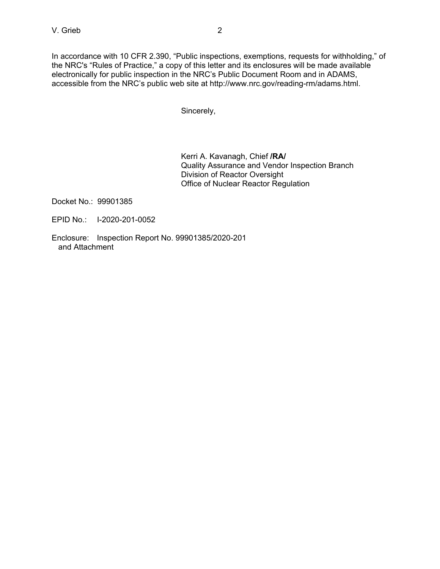In accordance with 10 CFR 2.390, "Public inspections, exemptions, requests for withholding," of the NRC's "Rules of Practice," a copy of this letter and its enclosures will be made available electronically for public inspection in the NRC's Public Document Room and in ADAMS, accessible from the NRC's public web site at http://www.nrc.gov/reading-rm/adams.html.

Sincerely,

Kerri A. Kavanagh, Chief **/RA/**  Quality Assurance and Vendor Inspection Branch Division of Reactor Oversight Office of Nuclear Reactor Regulation

Docket No.: 99901385

EPID No.: I-2020-201-0052

Enclosure: Inspection Report No. 99901385/2020-201 and Attachment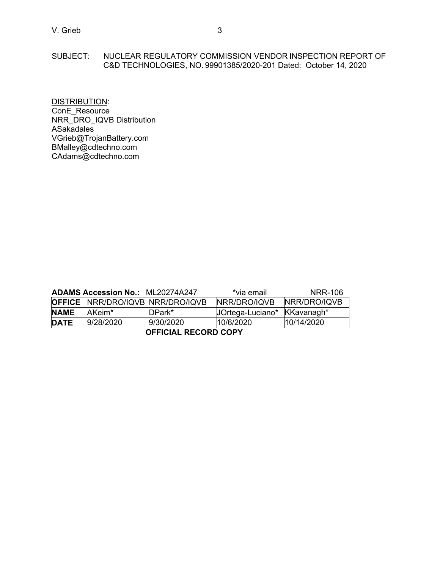### SUBJECT: NUCLEAR REGULATORY COMMISSION VENDOR INSPECTION REPORT OF C&D TECHNOLOGIES, NO. 99901385/2020-201 Dated: October 14, 2020

DISTRIBUTION: ConE\_Resource NRR\_DRO\_IQVB Distribution ASakadales VGrieb@TrojanBattery.com BMalley@cdtechno.com CAdams@cdtechno.com

| <b>ADAMS Accession No.: ML20274A247</b> |                                         |                    | *via email       | NRR-106      |  |
|-----------------------------------------|-----------------------------------------|--------------------|------------------|--------------|--|
|                                         | <b>OFFICE NRR/DRO/IQVB NRR/DRO/IQVB</b> |                    | INRR/DRO/IQVB    | NRR/DRO/IQVB |  |
| <b>NAME</b>                             | AKeim*                                  | $\mathsf{DPark}^*$ | UOrtega-Luciano* | KKavanagh*   |  |
| <b>DATE</b>                             | 9/28/2020                               | 9/30/2020          | 10/6/2020        | 10/14/2020   |  |
| <b>OFFICIAL RECORD COPY</b>             |                                         |                    |                  |              |  |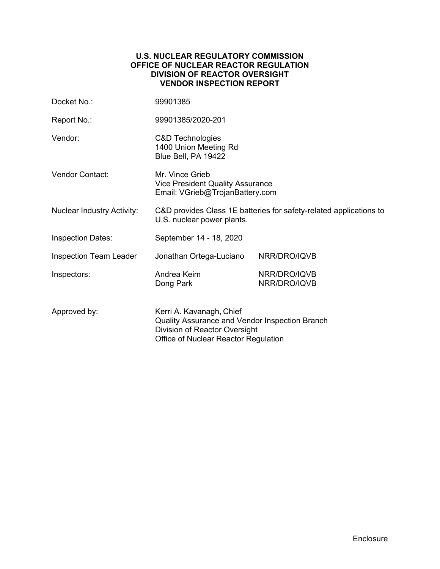### **U.S. NUCLEAR REGULATORY COMMISSION OFFICE OF NUCLEAR REACTOR REGULATION DIVISION OF REACTOR OVERSIGHT VENDOR INSPECTION REPORT**

| Docket No.:                                                                                                             | 99901385                                                                                                                                            |                              |  |
|-------------------------------------------------------------------------------------------------------------------------|-----------------------------------------------------------------------------------------------------------------------------------------------------|------------------------------|--|
| Report No.:                                                                                                             | 99901385/2020-201                                                                                                                                   |                              |  |
| Vendor:                                                                                                                 | <b>C&amp;D Technologies</b><br>1400 Union Meeting Rd<br>Blue Bell, PA 19422                                                                         |                              |  |
| <b>Vendor Contact:</b><br>Mr. Vince Grieb<br><b>Vice President Quality Assurance</b><br>Email: VGrieb@TrojanBattery.com |                                                                                                                                                     |                              |  |
| <b>Nuclear Industry Activity:</b>                                                                                       | C&D provides Class 1E batteries for safety-related applications to<br>U.S. nuclear power plants.                                                    |                              |  |
| <b>Inspection Dates:</b>                                                                                                | September 14 - 18, 2020                                                                                                                             |                              |  |
| <b>Inspection Team Leader</b>                                                                                           | Jonathan Ortega-Luciano                                                                                                                             | NRR/DRO/IQVB                 |  |
| Inspectors:                                                                                                             | Andrea Keim<br>Dong Park                                                                                                                            | NRR/DRO/IQVB<br>NRR/DRO/IQVB |  |
| Approved by:                                                                                                            | Kerri A. Kavanagh, Chief<br>Quality Assurance and Vendor Inspection Branch<br>Division of Reactor Oversight<br>Office of Nuclear Reactor Regulation |                              |  |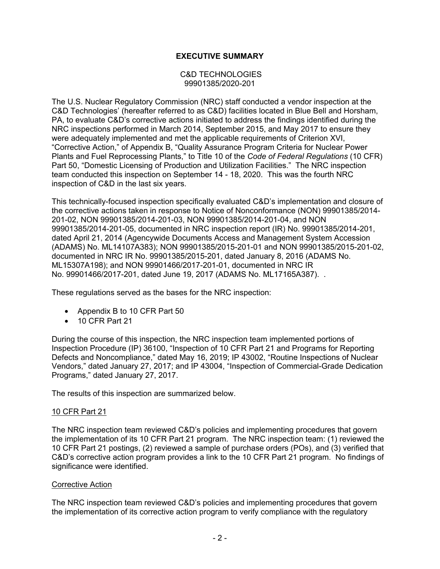## **EXECUTIVE SUMMARY**

#### C&D TECHNOLOGIES 99901385/2020-201

The U.S. Nuclear Regulatory Commission (NRC) staff conducted a vendor inspection at the C&D Technologies' (hereafter referred to as C&D) facilities located in Blue Bell and Horsham, PA, to evaluate C&D's corrective actions initiated to address the findings identified during the NRC inspections performed in March 2014, September 2015, and May 2017 to ensure they were adequately implemented and met the applicable requirements of Criterion XVI, "Corrective Action," of Appendix B, "Quality Assurance Program Criteria for Nuclear Power Plants and Fuel Reprocessing Plants," to Title 10 of the *Code of Federal Regulations* (10 CFR) Part 50, "Domestic Licensing of Production and Utilization Facilities." The NRC inspection team conducted this inspection on September 14 - 18, 2020. This was the fourth NRC inspection of C&D in the last six years.

This technically-focused inspection specifically evaluated C&D's implementation and closure of the corrective actions taken in response to Notice of Nonconformance (NON) 99901385/2014- 201-02, NON 99901385/2014-201-03, NON 99901385/2014-201-04, and NON 99901385/2014-201-05, documented in NRC inspection report (IR) No. 99901385/2014-201, dated April 21, 2014 (Agencywide Documents Access and Management System Accession (ADAMS) No. ML14107A383); NON 99901385/2015-201-01 and NON 99901385/2015-201-02, documented in NRC IR No. 99901385/2015-201, dated January 8, 2016 (ADAMS No. ML15307A198); and NON 99901466/2017-201-01, documented in NRC IR No. 99901466/2017-201, dated June 19, 2017 (ADAMS No. ML17165A387). .

These regulations served as the bases for the NRC inspection:

- Appendix B to 10 CFR Part 50
- 10 CFR Part 21

During the course of this inspection, the NRC inspection team implemented portions of Inspection Procedure (IP) 36100, "Inspection of 10 CFR Part 21 and Programs for Reporting Defects and Noncompliance," dated May 16, 2019; IP 43002, "Routine Inspections of Nuclear Vendors," dated January 27, 2017; and IP 43004, "Inspection of Commercial-Grade Dedication Programs," dated January 27, 2017.

The results of this inspection are summarized below.

## 10 CFR Part 21

The NRC inspection team reviewed C&D's policies and implementing procedures that govern the implementation of its 10 CFR Part 21 program. The NRC inspection team: (1) reviewed the 10 CFR Part 21 postings, (2) reviewed a sample of purchase orders (POs), and (3) verified that C&D's corrective action program provides a link to the 10 CFR Part 21 program. No findings of significance were identified.

#### Corrective Action

The NRC inspection team reviewed C&D's policies and implementing procedures that govern the implementation of its corrective action program to verify compliance with the regulatory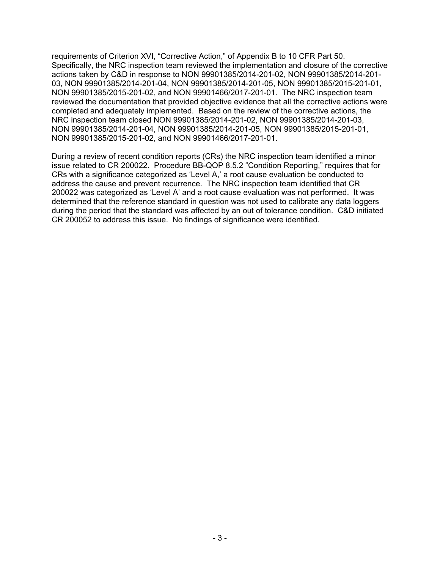requirements of Criterion XVI, "Corrective Action," of Appendix B to 10 CFR Part 50. Specifically, the NRC inspection team reviewed the implementation and closure of the corrective actions taken by C&D in response to NON 99901385/2014-201-02, NON 99901385/2014-201- 03, NON 99901385/2014-201-04, NON 99901385/2014-201-05, NON 99901385/2015-201-01, NON 99901385/2015-201-02, and NON 99901466/2017-201-01. The NRC inspection team reviewed the documentation that provided objective evidence that all the corrective actions were completed and adequately implemented. Based on the review of the corrective actions, the NRC inspection team closed NON 99901385/2014-201-02, NON 99901385/2014-201-03, NON 99901385/2014-201-04, NON 99901385/2014-201-05, NON 99901385/2015-201-01, NON 99901385/2015-201-02, and NON 99901466/2017-201-01.

During a review of recent condition reports (CRs) the NRC inspection team identified a minor issue related to CR 200022. Procedure BB-QOP 8.5.2 "Condition Reporting," requires that for CRs with a significance categorized as 'Level A,' a root cause evaluation be conducted to address the cause and prevent recurrence. The NRC inspection team identified that CR 200022 was categorized as 'Level A' and a root cause evaluation was not performed. It was determined that the reference standard in question was not used to calibrate any data loggers during the period that the standard was affected by an out of tolerance condition. C&D initiated CR 200052 to address this issue. No findings of significance were identified.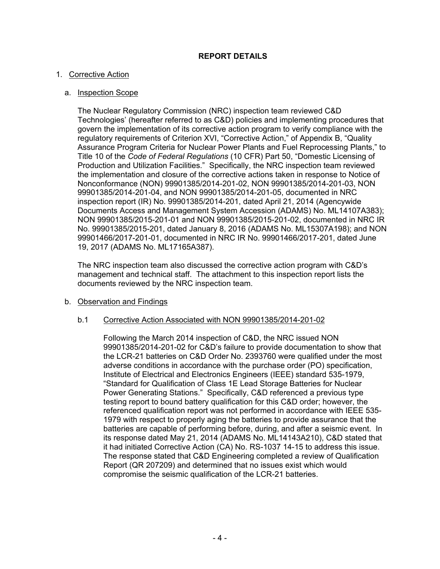## **REPORT DETAILS**

### 1. Corrective Action

### a. Inspection Scope

The Nuclear Regulatory Commission (NRC) inspection team reviewed C&D Technologies' (hereafter referred to as C&D) policies and implementing procedures that govern the implementation of its corrective action program to verify compliance with the regulatory requirements of Criterion XVI, "Corrective Action," of Appendix B, "Quality Assurance Program Criteria for Nuclear Power Plants and Fuel Reprocessing Plants," to Title 10 of the *Code of Federal Regulations* (10 CFR) Part 50, "Domestic Licensing of Production and Utilization Facilities." Specifically, the NRC inspection team reviewed the implementation and closure of the corrective actions taken in response to Notice of Nonconformance (NON) 99901385/2014-201-02, NON 99901385/2014-201-03, NON 99901385/2014-201-04, and NON 99901385/2014-201-05, documented in NRC inspection report (IR) No. 99901385/2014-201, dated April 21, 2014 (Agencywide Documents Access and Management System Accession (ADAMS) No. ML14107A383); NON 99901385/2015-201-01 and NON 99901385/2015-201-02, documented in NRC IR No. 99901385/2015-201, dated January 8, 2016 (ADAMS No. ML15307A198); and NON 99901466/2017-201-01, documented in NRC IR No. 99901466/2017-201, dated June 19, 2017 (ADAMS No. ML17165A387).

The NRC inspection team also discussed the corrective action program with C&D's management and technical staff. The attachment to this inspection report lists the documents reviewed by the NRC inspection team.

## b. Observation and Findings

## b.1 Corrective Action Associated with NON 99901385/2014-201-02

Following the March 2014 inspection of C&D, the NRC issued NON 99901385/2014-201-02 for C&D's failure to provide documentation to show that the LCR-21 batteries on C&D Order No. 2393760 were qualified under the most adverse conditions in accordance with the purchase order (PO) specification, Institute of Electrical and Electronics Engineers (IEEE) standard 535-1979, "Standard for Qualification of Class 1E Lead Storage Batteries for Nuclear Power Generating Stations." Specifically, C&D referenced a previous type testing report to bound battery qualification for this C&D order; however, the referenced qualification report was not performed in accordance with IEEE 535- 1979 with respect to properly aging the batteries to provide assurance that the batteries are capable of performing before, during, and after a seismic event. In its response dated May 21, 2014 (ADAMS No. ML14143A210), C&D stated that it had initiated Corrective Action (CA) No. RS-1037 14-15 to address this issue. The response stated that C&D Engineering completed a review of Qualification Report (QR 207209) and determined that no issues exist which would compromise the seismic qualification of the LCR-21 batteries.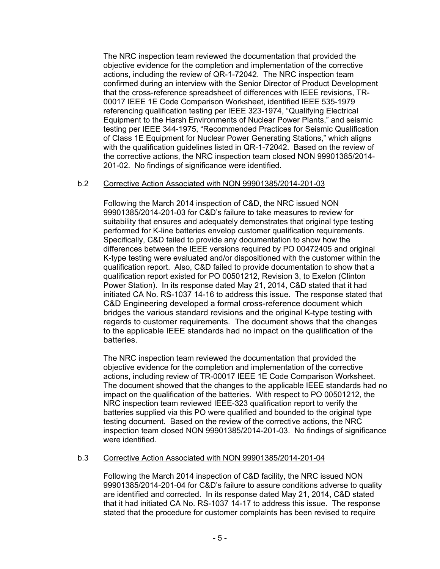The NRC inspection team reviewed the documentation that provided the objective evidence for the completion and implementation of the corrective actions, including the review of QR-1-72042. The NRC inspection team confirmed during an interview with the Senior Director of Product Development that the cross-reference spreadsheet of differences with IEEE revisions, TR-00017 IEEE 1E Code Comparison Worksheet, identified IEEE 535-1979 referencing qualification testing per IEEE 323-1974, "Qualifying Electrical Equipment to the Harsh Environments of Nuclear Power Plants," and seismic testing per IEEE 344-1975, "Recommended Practices for Seismic Qualification of Class 1E Equipment for Nuclear Power Generating Stations," which aligns with the qualification guidelines listed in QR-1-72042. Based on the review of the corrective actions, the NRC inspection team closed NON 99901385/2014- 201-02. No findings of significance were identified.

## b.2 Corrective Action Associated with NON 99901385/2014-201-03

Following the March 2014 inspection of C&D, the NRC issued NON 99901385/2014-201-03 for C&D's failure to take measures to review for suitability that ensures and adequately demonstrates that original type testing performed for K-line batteries envelop customer qualification requirements. Specifically, C&D failed to provide any documentation to show how the differences between the IEEE versions required by PO 00472405 and original K-type testing were evaluated and/or dispositioned with the customer within the qualification report. Also, C&D failed to provide documentation to show that a qualification report existed for PO 00501212, Revision 3, to Exelon (Clinton Power Station). In its response dated May 21, 2014, C&D stated that it had initiated CA No. RS-1037 14-16 to address this issue. The response stated that C&D Engineering developed a formal cross-reference document which bridges the various standard revisions and the original K-type testing with regards to customer requirements. The document shows that the changes to the applicable IEEE standards had no impact on the qualification of the batteries.

The NRC inspection team reviewed the documentation that provided the objective evidence for the completion and implementation of the corrective actions, including review of TR-00017 IEEE 1E Code Comparison Worksheet. The document showed that the changes to the applicable IEEE standards had no impact on the qualification of the batteries. With respect to PO 00501212, the NRC inspection team reviewed IEEE-323 qualification report to verify the batteries supplied via this PO were qualified and bounded to the original type testing document. Based on the review of the corrective actions, the NRC inspection team closed NON 99901385/2014-201-03. No findings of significance were identified.

## b.3 Corrective Action Associated with NON 99901385/2014-201-04

Following the March 2014 inspection of C&D facility, the NRC issued NON 99901385/2014-201-04 for C&D's failure to assure conditions adverse to quality are identified and corrected. In its response dated May 21, 2014, C&D stated that it had initiated CA No. RS-1037 14-17 to address this issue. The response stated that the procedure for customer complaints has been revised to require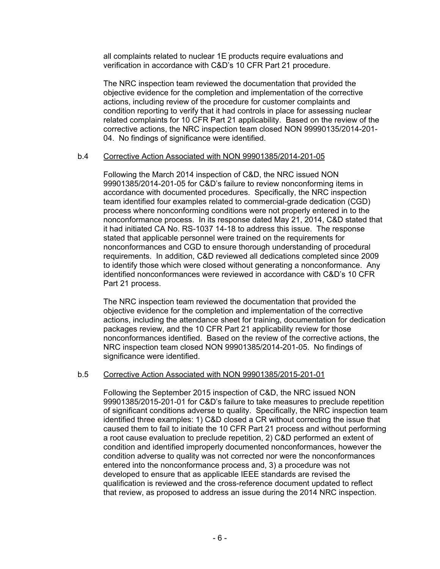all complaints related to nuclear 1E products require evaluations and verification in accordance with C&D's 10 CFR Part 21 procedure.

The NRC inspection team reviewed the documentation that provided the objective evidence for the completion and implementation of the corrective actions, including review of the procedure for customer complaints and condition reporting to verify that it had controls in place for assessing nuclear related complaints for 10 CFR Part 21 applicability. Based on the review of the corrective actions, the NRC inspection team closed NON 99990135/2014-201- 04. No findings of significance were identified.

### b.4 Corrective Action Associated with NON 99901385/2014-201-05

Following the March 2014 inspection of C&D, the NRC issued NON 99901385/2014-201-05 for C&D's failure to review nonconforming items in accordance with documented procedures. Specifically, the NRC inspection team identified four examples related to commercial-grade dedication (CGD) process where nonconforming conditions were not properly entered in to the nonconformance process. In its response dated May 21, 2014, C&D stated that it had initiated CA No. RS-1037 14-18 to address this issue. The response stated that applicable personnel were trained on the requirements for nonconformances and CGD to ensure thorough understanding of procedural requirements. In addition, C&D reviewed all dedications completed since 2009 to identify those which were closed without generating a nonconformance. Any identified nonconformances were reviewed in accordance with C&D's 10 CFR Part 21 process.

The NRC inspection team reviewed the documentation that provided the objective evidence for the completion and implementation of the corrective actions, including the attendance sheet for training, documentation for dedication packages review, and the 10 CFR Part 21 applicability review for those nonconformances identified. Based on the review of the corrective actions, the NRC inspection team closed NON 99901385/2014-201-05. No findings of significance were identified.

## b.5 Corrective Action Associated with NON 99901385/2015-201-01

Following the September 2015 inspection of C&D, the NRC issued NON 99901385/2015-201-01 for C&D's failure to take measures to preclude repetition of significant conditions adverse to quality. Specifically, the NRC inspection team identified three examples: 1) C&D closed a CR without correcting the issue that caused them to fail to initiate the 10 CFR Part 21 process and without performing a root cause evaluation to preclude repetition, 2) C&D performed an extent of condition and identified improperly documented nonconformances, however the condition adverse to quality was not corrected nor were the nonconformances entered into the nonconformance process and, 3) a procedure was not developed to ensure that as applicable IEEE standards are revised the qualification is reviewed and the cross-reference document updated to reflect that review, as proposed to address an issue during the 2014 NRC inspection.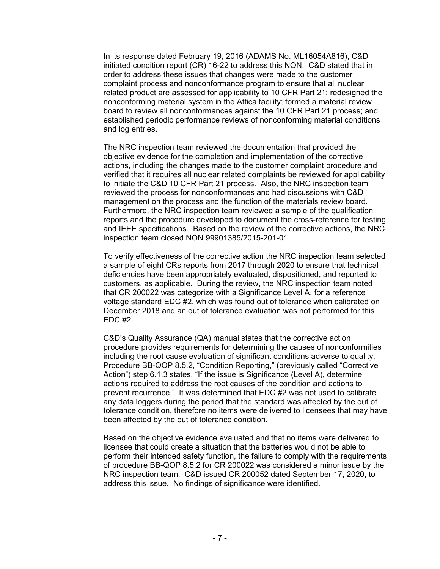In its response dated February 19, 2016 (ADAMS No. ML16054A816), C&D initiated condition report (CR) 16-22 to address this NON. C&D stated that in order to address these issues that changes were made to the customer complaint process and nonconformance program to ensure that all nuclear related product are assessed for applicability to 10 CFR Part 21; redesigned the nonconforming material system in the Attica facility; formed a material review board to review all nonconformances against the 10 CFR Part 21 process; and established periodic performance reviews of nonconforming material conditions and log entries.

The NRC inspection team reviewed the documentation that provided the objective evidence for the completion and implementation of the corrective actions, including the changes made to the customer complaint procedure and verified that it requires all nuclear related complaints be reviewed for applicability to initiate the C&D 10 CFR Part 21 process. Also, the NRC inspection team reviewed the process for nonconformances and had discussions with C&D management on the process and the function of the materials review board. Furthermore, the NRC inspection team reviewed a sample of the qualification reports and the procedure developed to document the cross-reference for testing and IEEE specifications. Based on the review of the corrective actions, the NRC inspection team closed NON 99901385/2015-201-01.

To verify effectiveness of the corrective action the NRC inspection team selected a sample of eight CRs reports from 2017 through 2020 to ensure that technical deficiencies have been appropriately evaluated, dispositioned, and reported to customers, as applicable. During the review, the NRC inspection team noted that CR 200022 was categorize with a Significance Level A, for a reference voltage standard EDC #2, which was found out of tolerance when calibrated on December 2018 and an out of tolerance evaluation was not performed for this EDC #2.

C&D's Quality Assurance (QA) manual states that the corrective action procedure provides requirements for determining the causes of nonconformities including the root cause evaluation of significant conditions adverse to quality. Procedure BB-QOP 8.5.2, "Condition Reporting," (previously called "Corrective Action") step 6.1.3 states, "If the issue is Significance (Level A), determine actions required to address the root causes of the condition and actions to prevent recurrence." It was determined that EDC #2 was not used to calibrate any data loggers during the period that the standard was affected by the out of tolerance condition, therefore no items were delivered to licensees that may have been affected by the out of tolerance condition.

Based on the objective evidence evaluated and that no items were delivered to licensee that could create a situation that the batteries would not be able to perform their intended safety function, the failure to comply with the requirements of procedure BB-QOP 8.5.2 for CR 200022 was considered a minor issue by the NRC inspection team. C&D issued CR 200052 dated September 17, 2020, to address this issue. No findings of significance were identified.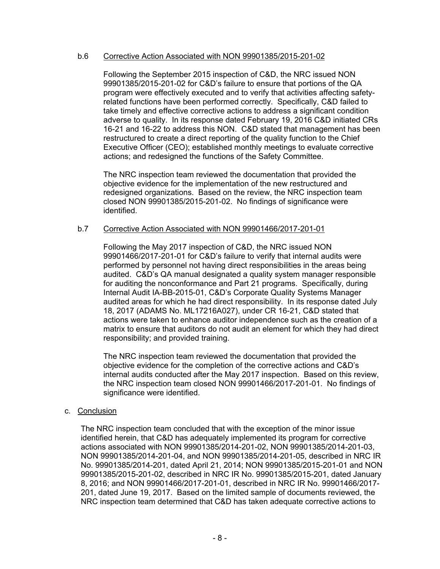#### b.6 Corrective Action Associated with NON 99901385/2015-201-02

Following the September 2015 inspection of C&D, the NRC issued NON 99901385/2015-201-02 for C&D's failure to ensure that portions of the QA program were effectively executed and to verify that activities affecting safetyrelated functions have been performed correctly. Specifically, C&D failed to take timely and effective corrective actions to address a significant condition adverse to quality. In its response dated February 19, 2016 C&D initiated CRs 16-21 and 16-22 to address this NON. C&D stated that management has been restructured to create a direct reporting of the quality function to the Chief Executive Officer (CEO); established monthly meetings to evaluate corrective actions; and redesigned the functions of the Safety Committee.

The NRC inspection team reviewed the documentation that provided the objective evidence for the implementation of the new restructured and redesigned organizations. Based on the review, the NRC inspection team closed NON 99901385/2015-201-02. No findings of significance were identified.

## b.7 Corrective Action Associated with NON 99901466/2017-201-01

Following the May 2017 inspection of C&D, the NRC issued NON 99901466/2017-201-01 for C&D's failure to verify that internal audits were performed by personnel not having direct responsibilities in the areas being audited. C&D's QA manual designated a quality system manager responsible for auditing the nonconformance and Part 21 programs. Specifically, during Internal Audit IA-BB-2015-01, C&D's Corporate Quality Systems Manager audited areas for which he had direct responsibility. In its response dated July 18, 2017 (ADAMS No. ML17216A027), under CR 16-21, C&D stated that actions were taken to enhance auditor independence such as the creation of a matrix to ensure that auditors do not audit an element for which they had direct responsibility; and provided training.

The NRC inspection team reviewed the documentation that provided the objective evidence for the completion of the corrective actions and C&D's internal audits conducted after the May 2017 inspection. Based on this review, the NRC inspection team closed NON 99901466/2017-201-01. No findings of significance were identified.

## c. Conclusion

The NRC inspection team concluded that with the exception of the minor issue identified herein, that C&D has adequately implemented its program for corrective actions associated with NON 99901385/2014-201-02, NON 99901385/2014-201-03, NON 99901385/2014-201-04, and NON 99901385/2014-201-05, described in NRC IR No. 99901385/2014-201, dated April 21, 2014; NON 99901385/2015-201-01 and NON 99901385/2015-201-02, described in NRC IR No. 99901385/2015-201, dated January 8, 2016; and NON 99901466/2017-201-01, described in NRC IR No. 99901466/2017- 201, dated June 19, 2017. Based on the limited sample of documents reviewed, the NRC inspection team determined that C&D has taken adequate corrective actions to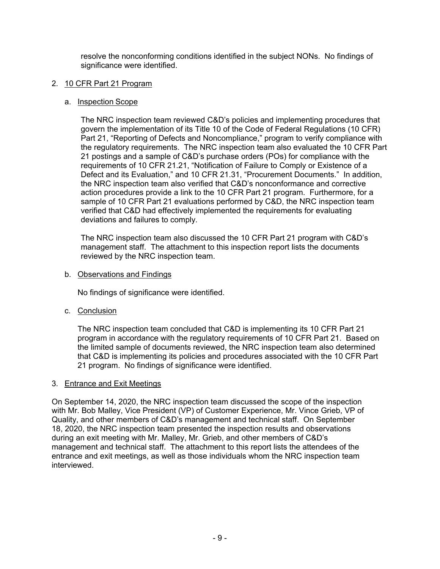resolve the nonconforming conditions identified in the subject NONs. No findings of significance were identified.

## 2. 10 CFR Part 21 Program

### a. Inspection Scope

The NRC inspection team reviewed C&D's policies and implementing procedures that govern the implementation of its Title 10 of the Code of Federal Regulations (10 CFR) Part 21, "Reporting of Defects and Noncompliance," program to verify compliance with the regulatory requirements. The NRC inspection team also evaluated the 10 CFR Part 21 postings and a sample of C&D's purchase orders (POs) for compliance with the requirements of 10 CFR 21.21, "Notification of Failure to Comply or Existence of a Defect and its Evaluation," and 10 CFR 21.31, "Procurement Documents." In addition, the NRC inspection team also verified that C&D's nonconformance and corrective action procedures provide a link to the 10 CFR Part 21 program. Furthermore, for a sample of 10 CFR Part 21 evaluations performed by C&D, the NRC inspection team verified that C&D had effectively implemented the requirements for evaluating deviations and failures to comply.

The NRC inspection team also discussed the 10 CFR Part 21 program with C&D's management staff. The attachment to this inspection report lists the documents reviewed by the NRC inspection team.

### b. Observations and Findings

No findings of significance were identified.

c. Conclusion

The NRC inspection team concluded that C&D is implementing its 10 CFR Part 21 program in accordance with the regulatory requirements of 10 CFR Part 21. Based on the limited sample of documents reviewed, the NRC inspection team also determined that C&D is implementing its policies and procedures associated with the 10 CFR Part 21 program. No findings of significance were identified.

#### 3. Entrance and Exit Meetings

On September 14, 2020, the NRC inspection team discussed the scope of the inspection with Mr. Bob Malley, Vice President (VP) of Customer Experience, Mr. Vince Grieb, VP of Quality, and other members of C&D's management and technical staff. On September 18, 2020, the NRC inspection team presented the inspection results and observations during an exit meeting with Mr. Malley, Mr. Grieb, and other members of C&D's management and technical staff. The attachment to this report lists the attendees of the entrance and exit meetings, as well as those individuals whom the NRC inspection team interviewed.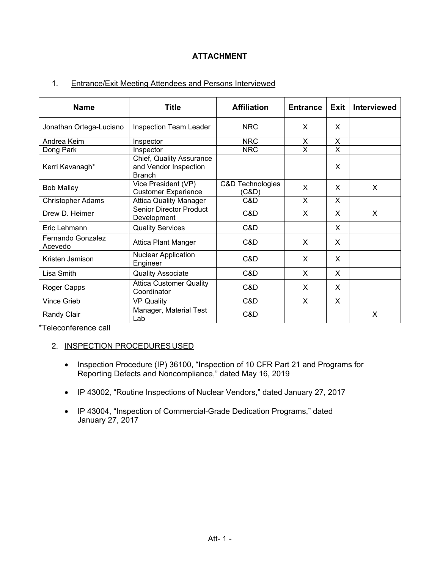# **ATTACHMENT**

## 1. Entrance/Exit Meeting Attendees and Persons Interviewed

| <b>Name</b>                  | <b>Title</b>                                                              | <b>Affiliation</b>        | <b>Entrance</b> | Exit | Interviewed |
|------------------------------|---------------------------------------------------------------------------|---------------------------|-----------------|------|-------------|
| Jonathan Ortega-Luciano      | <b>Inspection Team Leader</b>                                             | <b>NRC</b>                | X               | X    |             |
| Andrea Keim                  | Inspector                                                                 | <b>NRC</b>                | X               | X    |             |
| Dong Park                    | Inspector                                                                 | <b>NRC</b>                | X               | X    |             |
| Kerri Kavanagh*              | <b>Chief, Quality Assurance</b><br>and Vendor Inspection<br><b>Branch</b> |                           |                 | X    |             |
| <b>Bob Malley</b>            | Vice President (VP)<br><b>Customer Experience</b>                         | C&D Technologies<br>(C&D) | X               | X    | $\times$    |
| <b>Christopher Adams</b>     | <b>Attica Quality Manager</b>                                             | C&D                       | X               | X    |             |
| Drew D. Heimer               | <b>Senior Director Product</b><br>Development                             | C&D                       | X               | X    | X           |
| Eric Lehmann                 | <b>Quality Services</b>                                                   | C&D                       |                 | X    |             |
| Fernando Gonzalez<br>Acevedo | Attica Plant Manger                                                       | C&D                       | X               | X    |             |
| Kristen Jamison              | Nuclear Application<br>Engineer                                           | C&D                       | X               | X    |             |
| Lisa Smith                   | <b>Quality Associate</b>                                                  | C&D                       | X               | X    |             |
| Roger Capps                  | <b>Attica Customer Quality</b><br>Coordinator                             | C&D                       | X               | X    |             |
| <b>Vince Grieb</b>           | <b>VP Quality</b>                                                         | C&D                       | X               | X    |             |
| Randy Clair                  | Manager, Material Test<br>Lab                                             | C&D                       |                 |      | X           |

\*Teleconference call

## 2. INSPECTION PROCEDURES USED

- Inspection Procedure (IP) 36100, "Inspection of 10 CFR Part 21 and Programs for Reporting Defects and Noncompliance," dated May 16, 2019
- IP 43002, "Routine Inspections of Nuclear Vendors," dated January 27, 2017
- IP 43004, "Inspection of Commercial-Grade Dedication Programs," dated January 27, 2017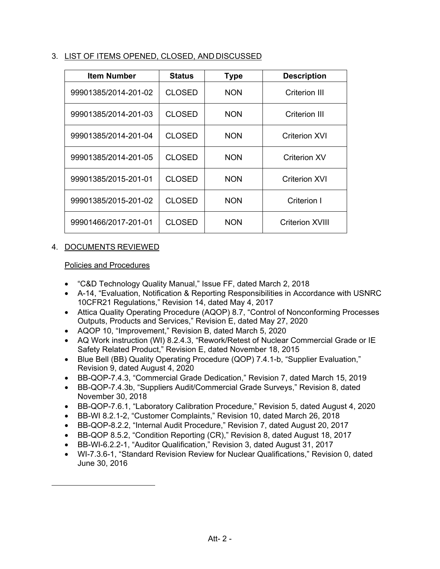3. LIST OF ITEMS OPENED, CLOSED, AND DISCUSSED

| <b>Item Number</b>   | <b>Status</b> | Type       | <b>Description</b> |
|----------------------|---------------|------------|--------------------|
| 99901385/2014-201-02 | <b>CLOSED</b> | <b>NON</b> | Criterion III      |
| 99901385/2014-201-03 | <b>CLOSED</b> | <b>NON</b> | Criterion III      |
| 99901385/2014-201-04 | <b>CLOSED</b> | <b>NON</b> | Criterion XVI      |
| 99901385/2014-201-05 | <b>CLOSED</b> | <b>NON</b> | Criterion XV       |
| 99901385/2015-201-01 | <b>CLOSED</b> | <b>NON</b> | Criterion XVI      |
| 99901385/2015-201-02 | <b>CLOSED</b> | <b>NON</b> | Criterion I        |
| 99901466/2017-201-01 | <b>CLOSED</b> | <b>NON</b> | Criterion XVIII    |

# 4. DOCUMENTS REVIEWED

## Policies and Procedures

L

- "C&D Technology Quality Manual," Issue FF, dated March 2, 2018
- A-14, "Evaluation, Notification & Reporting Responsibilities in Accordance with USNRC 10CFR21 Regulations," Revision 14, dated May 4, 2017
- Attica Quality Operating Procedure (AQOP) 8.7, "Control of Nonconforming Processes Outputs, Products and Services," Revision E, dated May 27, 2020
- AQOP 10, "Improvement," Revision B, dated March 5, 2020
- AQ Work instruction (WI) 8.2.4.3, "Rework/Retest of Nuclear Commercial Grade or IE Safety Related Product," Revision E, dated November 18, 2015
- Blue Bell (BB) Quality Operating Procedure (QOP) 7.4.1-b, "Supplier Evaluation," Revision 9, dated August 4, 2020
- BB-QOP-7.4.3, "Commercial Grade Dedication," Revision 7, dated March 15, 2019
- BB-QOP-7.4.3b, "Suppliers Audit/Commercial Grade Surveys," Revision 8, dated November 30, 2018
- BB-QOP-7.6.1, "Laboratory Calibration Procedure," Revision 5, dated August 4, 2020
- BB-WI 8.2.1-2, "Customer Complaints," Revision 10, dated March 26, 2018
- BB-QOP-8.2.2, "Internal Audit Procedure," Revision 7, dated August 20, 2017
- BB-QOP 8.5.2, "Condition Reporting (CR)," Revision 8, dated August 18, 2017
- BB-WI-6.2.2-1, "Auditor Qualification," Revision 3, dated August 31, 2017
- WI-7.3.6-1, "Standard Revision Review for Nuclear Qualifications," Revision 0, dated June 30, 2016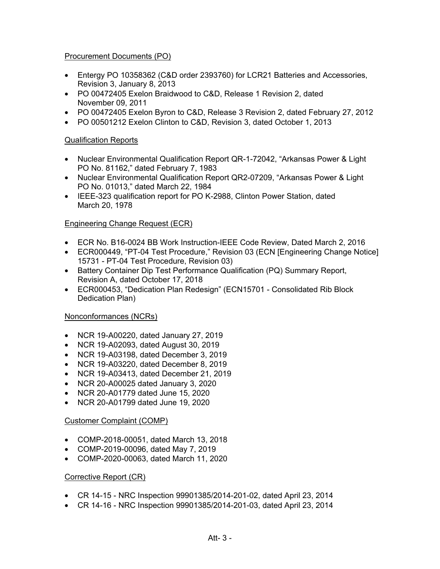## Procurement Documents (PO)

- Entergy PO 10358362 (C&D order 2393760) for LCR21 Batteries and Accessories, Revision 3, January 8, 2013
- PO 00472405 Exelon Braidwood to C&D, Release 1 Revision 2, dated November 09, 2011
- PO 00472405 Exelon Byron to C&D, Release 3 Revision 2, dated February 27, 2012
- PO 00501212 Exelon Clinton to C&D, Revision 3, dated October 1, 2013

## Qualification Reports

- Nuclear Environmental Qualification Report QR-1-72042, "Arkansas Power & Light PO No. 81162," dated February 7, 1983
- Nuclear Environmental Qualification Report QR2-07209, "Arkansas Power & Light PO No. 01013," dated March 22, 1984
- IEEE-323 qualification report for PO K-2988, Clinton Power Station, dated March 20, 1978

## Engineering Change Request (ECR)

- ECR No. B16-0024 BB Work Instruction-IEEE Code Review, Dated March 2, 2016
- ECR000449, "PT-04 Test Procedure," Revision 03 (ECN [Engineering Change Notice] 15731 - PT-04 Test Procedure, Revision 03)
- Battery Container Dip Test Performance Qualification (PQ) Summary Report, Revision A, dated October 17, 2018
- ECR000453, "Dedication Plan Redesign" (ECN15701 Consolidated Rib Block Dedication Plan)

## Nonconformances (NCRs)

- NCR 19-A00220, dated January 27, 2019
- NCR 19-A02093, dated August 30, 2019
- NCR 19-A03198, dated December 3, 2019
- NCR 19-A03220, dated December 8, 2019
- NCR 19-A03413, dated December 21, 2019
- NCR 20-A00025 dated January 3, 2020
- NCR 20-A01779 dated June 15, 2020
- NCR 20-A01799 dated June 19, 2020

## Customer Complaint (COMP)

- COMP-2018-00051, dated March 13, 2018
- COMP-2019-00096, dated May 7, 2019
- COMP-2020-00063, dated March 11, 2020

## Corrective Report (CR)

- CR 14-15 NRC Inspection 99901385/2014-201-02, dated April 23, 2014
- CR 14-16 NRC Inspection 99901385/2014-201-03, dated April 23, 2014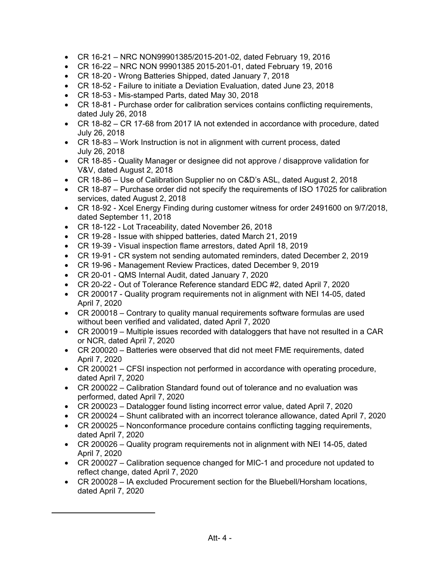- CR 16-21 NRC NON99901385/2015-201-02, dated February 19, 2016
- CR 16-22 NRC NON 99901385 2015-201-01, dated February 19, 2016
- CR 18-20 Wrong Batteries Shipped, dated January 7, 2018
- CR 18-52 Failure to initiate a Deviation Evaluation, dated June 23, 2018
- CR 18-53 Mis-stamped Parts, dated May 30, 2018
- CR 18-81 Purchase order for calibration services contains conflicting requirements, dated July 26, 2018
- CR 18-82 CR 17-68 from 2017 IA not extended in accordance with procedure, dated July 26, 2018
- CR 18-83 Work Instruction is not in alignment with current process, dated July 26, 2018
- CR 18-85 Quality Manager or designee did not approve / disapprove validation for V&V, dated August 2, 2018
- CR 18-86 Use of Calibration Supplier no on C&D's ASL, dated August 2, 2018
- CR 18-87 Purchase order did not specify the requirements of ISO 17025 for calibration services, dated August 2, 2018
- CR 18-92 Xcel Energy Finding during customer witness for order 2491600 on 9/7/2018, dated September 11, 2018
- CR 18-122 Lot Traceability, dated November 26, 2018
- CR 19-28 Issue with shipped batteries, dated March 21, 2019
- CR 19-39 Visual inspection flame arrestors, dated April 18, 2019
- CR 19-91 CR system not sending automated reminders, dated December 2, 2019
- CR 19-96 Management Review Practices, dated December 9, 2019
- CR 20-01 QMS Internal Audit, dated January 7, 2020

L

- CR 20-22 Out of Tolerance Reference standard EDC #2, dated April 7, 2020
- CR 200017 Quality program requirements not in alignment with NEI 14-05, dated April 7, 2020
- CR 200018 Contrary to quality manual requirements software formulas are used without been verified and validated, dated April 7, 2020
- CR 200019 Multiple issues recorded with dataloggers that have not resulted in a CAR or NCR, dated April 7, 2020
- CR 200020 Batteries were observed that did not meet FME requirements, dated April 7, 2020
- CR 200021 CFSI inspection not performed in accordance with operating procedure, dated April 7, 2020
- CR 200022 Calibration Standard found out of tolerance and no evaluation was performed, dated April 7, 2020
- CR 200023 Datalogger found listing incorrect error value, dated April 7, 2020
- CR 200024 Shunt calibrated with an incorrect tolerance allowance, dated April 7, 2020
- CR 200025 Nonconformance procedure contains conflicting tagging requirements, dated April 7, 2020
- CR 200026 Quality program requirements not in alignment with NEI 14-05, dated April 7, 2020
- CR 200027 Calibration sequence changed for MIC-1 and procedure not updated to reflect change, dated April 7, 2020
- CR 200028 IA excluded Procurement section for the Bluebell/Horsham locations, dated April 7, 2020